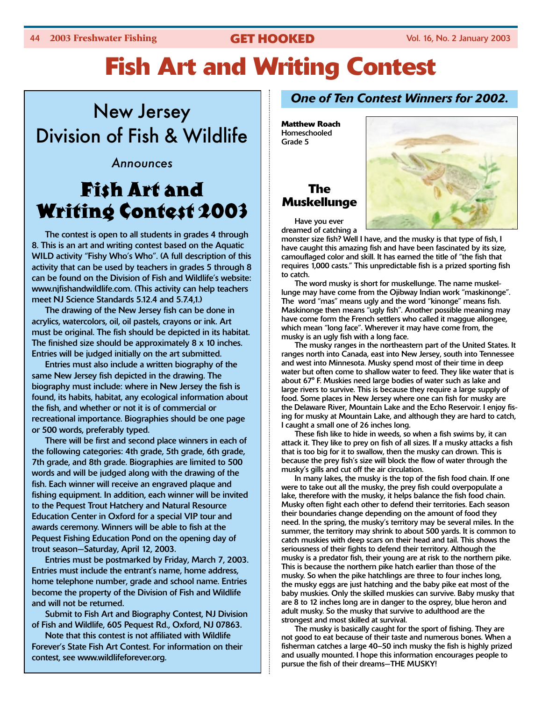# **Fish Art and Writing Contest**

# New Jersey Division of Fish & Wildlife

#### Announces

# Fish Art and Writing Contest 2003

The contest is open to all students in grades 4 through 8. This is an art and writing contest based on the Aquatic WILD activity "Fishy Who's Who". (A full description of this activity that can be used by teachers in grades 5 through 8 can be found on the Division of Fish and Wildlife's website: www.njfishandwildlife.com. (This activity can help teachers meet NJ Science Standards 5.12.4 and 5.7.4,1.)

The drawing of the New Jersey fish can be done in acrylics, watercolors, oil, oil pastels, crayons or ink. Art must be original. The fish should be depicted in its habitat. The finished size should be approximately 8 x 10 inches. Entries will be judged initially on the art submitted.

Entries must also include a written biography of the same New Jersey fish depicted in the drawing. The biography must include: where in New Jersey the fish is found, its habits, habitat, any ecological information about the fish, and whether or not it is of commercial or recreational importance. Biographies should be one page or 500 words, preferably typed.

There will be first and second place winners in each of the following categories: 4th grade, 5th grade, 6th grade, 7th grade, and 8th grade. Biographies are limited to 500 words and will be judged along with the drawing of the fish. Each winner will receive an engraved plaque and fishing equipment. In addition, each winner will be invited to the Pequest Trout Hatchery and Natural Resource Education Center in Oxford for a special VIP tour and awards ceremony. Winners will be able to fish at the Pequest Fishing Education Pond on the opening day of trout season—Saturday, April 12, 2003.

Entries must be postmarked by Friday, March 7, 2003. Entries must include the entrant's name, home address, home telephone number, grade and school name. Entries become the property of the Division of Fish and Wildlife and will not be returned.

Submit to Fish Art and Biography Contest, NJ Division of Fish and Wildlife, 605 Pequest Rd., Oxford, NJ 07863.

Note that this contest is not affiliated with Wildlife Forever's State Fish Art Contest. For information on their contest, see www.wildlifeforever.org.

#### *One of Ten Contest Winners for 2002.*

**Matthew Roach** Homeschooled Grade 5

## **The Muskellunge**



Have you ever dreamed of catching a

monster size fish? Well I have, and the musky is that type of fish, I have caught this amazing fish and have been fascinated by its size, camouflaged color and skill. It has earned the title of "the fish that requires 1,000 casts." This unpredictable fish is a prized sporting fish to catch.

The word musky is short for muskellunge. The name muskellunge may have come from the Ojibway Indian work "maskinonge". The word "mas" means ugly and the word "kinonge" means fish. Maskinonge then means "ugly fish". Another possible meaning may have come form the French settlers who called it maggue allongee, which mean "long face". Wherever it may have come from, the musky is an ugly fish with a long face.

The musky ranges in the northeastern part of the United States. It ranges north into Canada, east into New Jersey, south into Tennessee and west into Minnesota. Musky spend most of their time in deep water but often come to shallow water to feed. They like water that is about 67° F. Muskies need large bodies of water such as lake and large rivers to survive. This is because they require a large supply of food. Some places in New Jersey where one can fish for musky are the Delaware River, Mountain Lake and the Echo Reservoir. I enjoy fising for musky at Mountain Lake, and although they are hard to catch, I caught a small one of 26 inches long.

These fish like to hide in weeds, so when a fish swims by, it can attack it. They like to prey on fish of all sizes. If a musky attacks a fish that is too big for it to swallow, then the musky can drown. This is because the prey fish's size will block the flow of water through the musky's gills and cut off the air circulation.

In many lakes, the musky is the top of the fish food chain. If one were to take out all the musky, the prey fish could overpopulate a lake, therefore with the musky, it helps balance the fish food chain. Musky often fight each other to defend their territories. Each season their boundaries change depending on the amount of food they need. In the spring, the musky's territory may be several miles. In the summer, the territory may shrink to about 500 yards. It is common to catch muskies with deep scars on their head and tail. This shows the seriousness of their fights to defend their territory. Although the musky is a predator fish, their young are at risk to the northern pike. This is because the northern pike hatch earlier than those of the musky. So when the pike hatchlings are three to four inches long, the musky eggs are just hatching and the baby pike eat most of the baby muskies. Only the skilled muskies can survive. Baby musky that are 8 to 12 inches long are in danger to the osprey, blue heron and adult musky. So the musky that survive to adulthood are the strongest and most skilled at survival.

The musky is basically caught for the sport of fishing. They are not good to eat because of their taste and numerous bones. When a fisherman catches a large 40–50 inch musky the fish is highly prized and usually mounted. I hope this information encourages people to pursue the fish of their dreams—THE MUSKY!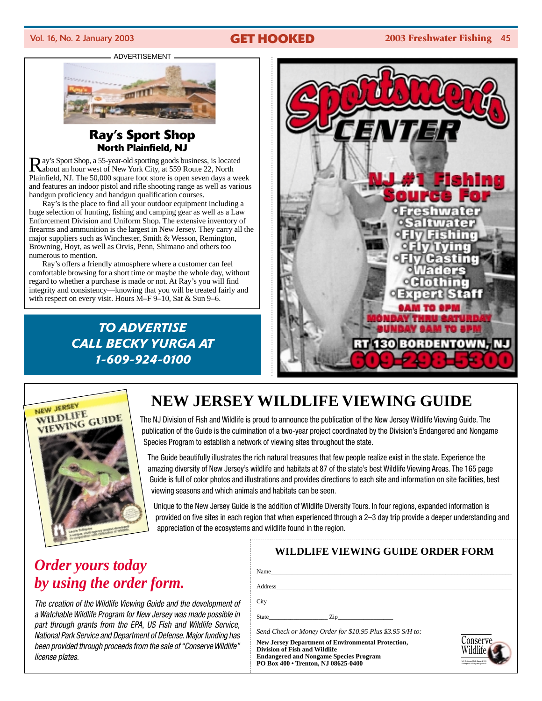#### Vol. 16, No. 2 January 2003 **GET HOOKED 2003 Freshwater Fishing** 45

#### ADVERTISEMENT



#### **Ray's Sport Shop North Plainfield, NJ**

Ray's Sport Shop, a 55-year-old sporting goods business, is located about an hour west of New York City, at 559 Route 22, North Plainfield, NJ. The 50,000 square foot store is open seven days a week and features an indoor pistol and rifle shooting range as well as various handgun proficiency and handgun qualification courses.

Ray's is the place to find all your outdoor equipment including a huge selection of hunting, fishing and camping gear as well as a Law Enforcement Division and Uniform Shop. The extensive inventory of firearms and ammunition is the largest in New Jersey. They carry all the major suppliers such as Winchester, Smith & Wesson, Remington, Browning, Hoyt, as well as Orvis, Penn, Shimano and others too numerous to mention.

Ray's offers a friendly atmosphere where a customer can feel comfortable browsing for a short time or maybe the whole day, without regard to whether a purchase is made or not. At Ray's you will find integrity and consistency—knowing that you will be treated fairly and with respect on every visit. Hours M–F 9–10, Sat & Sun 9–6.

### *TO ADVERTISE CALL BECKY YURGA AT 1-609-924-0100*





# **NEW JERSEY WILDLIFE VIEWING GUIDE**

The NJ Division of Fish and Wildlife is proud to announce the publication of the New Jersey Wildlife Viewing Guide. The publication of the Guide is the culmination of a two-year project coordinated by the Division's Endangered and Nongame Species Program to establish a network of viewing sites throughout the state.

The Guide beautifully illustrates the rich natural treasures that few people realize exist in the state. Experience the amazing diversity of New Jersey's wildlife and habitats at 87 of the state's best Wildlife Viewing Areas. The 165 page Guide is full of color photos and illustrations and provides directions to each site and information on site facilities, best viewing seasons and which animals and habitats can be seen.

Unique to the New Jersey Guide is the addition of Wildlife Diversity Tours. In four regions, expanded information is provided on five sites in each region that when experienced through a 2–3 day trip provide a deeper understanding and appreciation of the ecosystems and wildlife found in the region.

# *Order yours today by using the order form.*

*The creation of the Wildlife Viewing Guide and the development of a Watchable Wildlife Program for New Jersey was made possible in part through grants from the EPA, US Fish and Wildlife Service, National Park Service and Department of Defense. Major funding has been provided through proceeds from the sale of "Conserve Wildlife" license plates.*

| <b>WILDLIFE VIEWING GUIDE ORDER FORM</b>                                                                                                                                                                                                        |                                              |
|-------------------------------------------------------------------------------------------------------------------------------------------------------------------------------------------------------------------------------------------------|----------------------------------------------|
|                                                                                                                                                                                                                                                 |                                              |
| Address and the contract of the contract of the contract of the contract of the contract of the contract of the contract of the contract of the contract of the contract of the contract of the contract of the contract of th                  |                                              |
|                                                                                                                                                                                                                                                 |                                              |
| State <u>Cip</u> <b>Zip</b>                                                                                                                                                                                                                     |                                              |
| Send Check or Money Order for \$10.95 Plus \$3.95 S/H to:<br><b>New Jersey Department of Environmental Protection,</b><br>Division of Fish and Wildlife<br><b>Endangered and Nongame Species Program</b><br>PO Box 400 . Trenton, NJ 08625-0400 | `onserve<br>Endangered & Nonegate Species P. |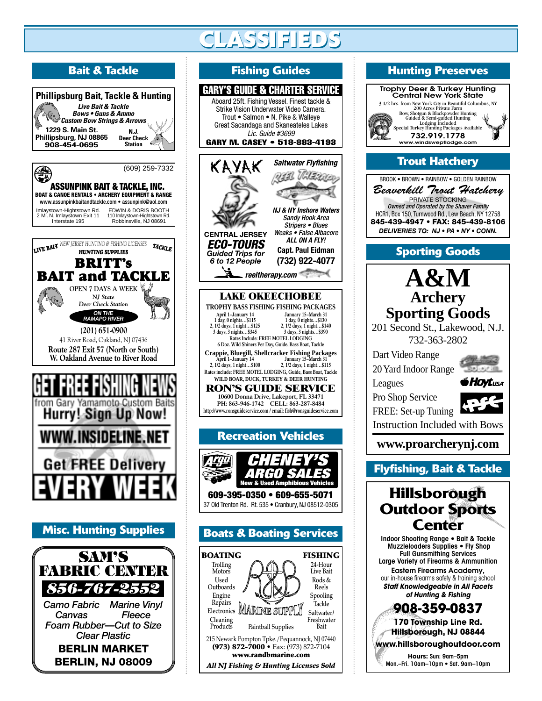# **CLASSIFIEDS CLASSIFIEDS**





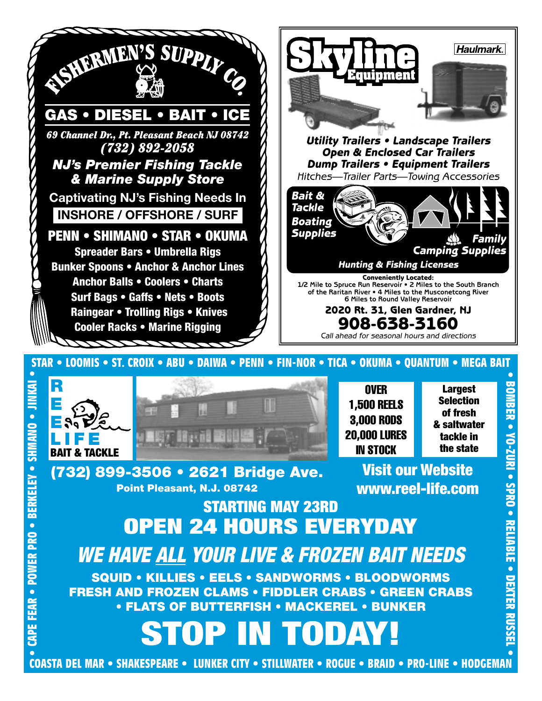





**OVER** 1,500 REELS 3,000 RODS 20,000 LURES IN STOCK

**Largest Selection of fresh & saltwater tackle in the state**

**(732) 899-3506 • 2621 Bridge Ave. Point Pleasant, N.J. 08742**

**Visit our Website www.reel-life.com**

# **EXPERIENCE • POWERAGE • POWER • SHART AND FROM • SHART • POWER • SHART • SHART • SHART • SHART • STARTING MAY 23RD**<br> **EXPERIENCE • POWER • SHART • SHART • SHART • SHART • SHART • STARTING MAY 23RD**<br> **POPEN 24 HOURS EVERYD STARTING MAY 23RD OPEN 24 HOURS EVERYDAY** *WE HAVE ALL YOUR LIVE & FROZEN BAIT NEEDS*

**SQUID • KILLIES • EELS • SANDWORMS • BLOODWORMS FRESH AND FROZEN CLAMS • FIDDLER CRABS • GREEN CRABS • FLATS OF BUTTERFISH • MACKEREL • BUNKER**

**STOP IN TODAY!**

**COASTA DEL MAR • SHAKESPEARE • LUNKER CITY • STILLWATER • ROGUE • BRAID • PRO-LINE • HODGEMAN**